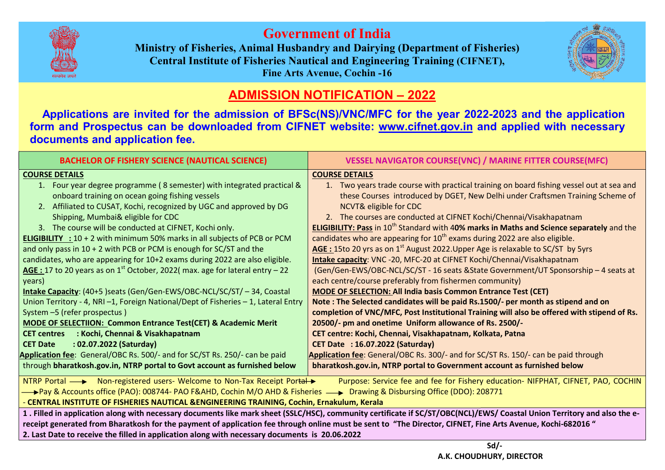

## Government of India

Ministry of Fisheries, Animal Husbandry and Dairying (Department of Fisheries) Central Institute of Fisheries Nautical and Engineering Training (CIFNET), Fine Arts Avenue, Cochin -16



## ADMISSION NOTIFICATION – 2022

 Applications are invited for the admission of BFSc(NS)/VNC/MFC for the year 2022 2022-2023 and the application form and Prospectus can be downloaded from CIFNET website: www.cifnet.gov.in and applied with necessary documents and application fee.

| <b>BACHELOR OF FISHERY SCIENCE (NAUTICAL SCIENCE)</b>                                                                                                         | <b>VESSEL NAVIGATOR COURSE(VNC) / MARINE FITTER COURSE(MFC)</b>                                             |
|---------------------------------------------------------------------------------------------------------------------------------------------------------------|-------------------------------------------------------------------------------------------------------------|
| <b>COURSE DETAILS</b>                                                                                                                                         | <b>COURSE DETAILS</b>                                                                                       |
| 1. Four year degree programme (8 semester) with integrated practical &                                                                                        | 1. Two years trade course with practical training on board fishing vessel out at sea and                    |
| onboard training on ocean going fishing vessels                                                                                                               | these Courses introduced by DGET, New Delhi under Craftsmen Training Scheme of                              |
| 2. Affiliated to CUSAT, Kochi, recognized by UGC and approved by DG                                                                                           | <b>NCVT&amp; eligible for CDC</b>                                                                           |
| Shipping, Mumbai& eligible for CDC                                                                                                                            | 2. The courses are conducted at CIFNET Kochi/Chennai/Visakhapatnam                                          |
| 3. The course will be conducted at CIFNET, Kochi only.                                                                                                        | <b>ELIGIBILITY: Pass in 10<sup>th</sup> Standard with 40% marks in Maths and Science separately</b> and the |
| <b>ELIGIBILITY</b> : $10 + 2$ with minimum 50% marks in all subjects of PCB or PCM                                                                            | candidates who are appearing for 10 <sup>th</sup> exams during 2022 are also eligible.                      |
| and only pass in $10 + 2$ with PCB or PCM is enough for SC/ST and the                                                                                         | <b>AGE:</b> 15to 20 yrs as on 1 <sup>st</sup> August 2022. Upper Age is relaxable to SC/ST by 5yrs          |
| candidates, who are appearing for 10+2 exams during 2022 are also eligible.                                                                                   | Intake capacity: VNC -20, MFC-20 at CIFNET Kochi/Chennai/Visakhapatnam                                      |
| AGE : 17 to 20 years as on $1^{st}$ October, 2022( max. age for lateral entry – 22                                                                            | (Gen/Gen-EWS/OBC-NCL/SC/ST - 16 seats & State Government/UT Sponsorship - 4 seats at                        |
| years)                                                                                                                                                        | each centre/course preferably from fishermen community)                                                     |
| Intake Capacity: (40+5) seats (Gen/Gen-EWS/OBC-NCL/SC/ST/-34, Coastal                                                                                         | <b>MODE OF SELECTION: All India basis Common Entrance Test (CET)</b>                                        |
| Union Territory - 4, NRI -1, Foreign National/Dept of Fisheries - 1, Lateral Entry                                                                            | Note: The Selected candidates will be paid Rs.1500/- per month as stipend and on                            |
| System -5 (refer prospectus)                                                                                                                                  | completion of VNC/MFC, Post Institutional Training will also be offered with stipend of Rs.                 |
| <b>MODE OF SELECTIION: Common Entrance Test(CET) &amp; Academic Merit</b>                                                                                     | 20500/- pm and onetime Uniform allowance of Rs. 2500/-                                                      |
| : Kochi, Chennai & Visakhapatnam<br><b>CET centres</b>                                                                                                        | CET centre: Kochi, Chennai, Visakhapatnam, Kolkata, Patna                                                   |
| : 02.07.2022 (Saturday)<br><b>CET Date</b>                                                                                                                    | <b>CET Date : 16.07.2022 (Saturday)</b>                                                                     |
| Application fee: General/OBC Rs. 500/- and for SC/ST Rs. 250/- can be paid                                                                                    | Application fee: General/OBC Rs. 300/- and for SC/ST Rs. 150/- can be paid through                          |
| through bharatkosh.gov.in, NTRP portal to Govt account as furnished below                                                                                     | bharatkosh.gov.in, NTRP portal to Government account as furnished below                                     |
| NTRP Portal - > Non-registered users- Welcome to Non-Tax Receipt Portal ><br>Purpose: Service fee and fee for Fishery education- NIFPHAT, CIFNET, PAO, COCHIN |                                                                                                             |
| <b>—→Pay &amp; Accounts office (PAO): 008744- PAO F&amp;AHD, Cochin M/O AHD &amp; Fisheries —→ Drawing &amp; Disbursing Office (DDO): 208771</b>              |                                                                                                             |
| - CENTRAL INSTITUTE OF FISHERIES NAUTICAL & ENGINEERING TRAINING, Cochin, Ernakulum, Kerala                                                                   |                                                                                                             |

1 . Filled in application along with necessary documents like mark sheet (SSLC/HSC), community certificate if SC/ST/OBC(NCL)/EWS/ Coastal Union Territory and also the ereceipt generated from Bharatkosh for the payment of application fee through online must be sent to "The Director, CIFNET, Fine Arts Avenue, Kochi-682016" 2. Last Date to receive the filled in application along with necessary documents is 20.06.2022